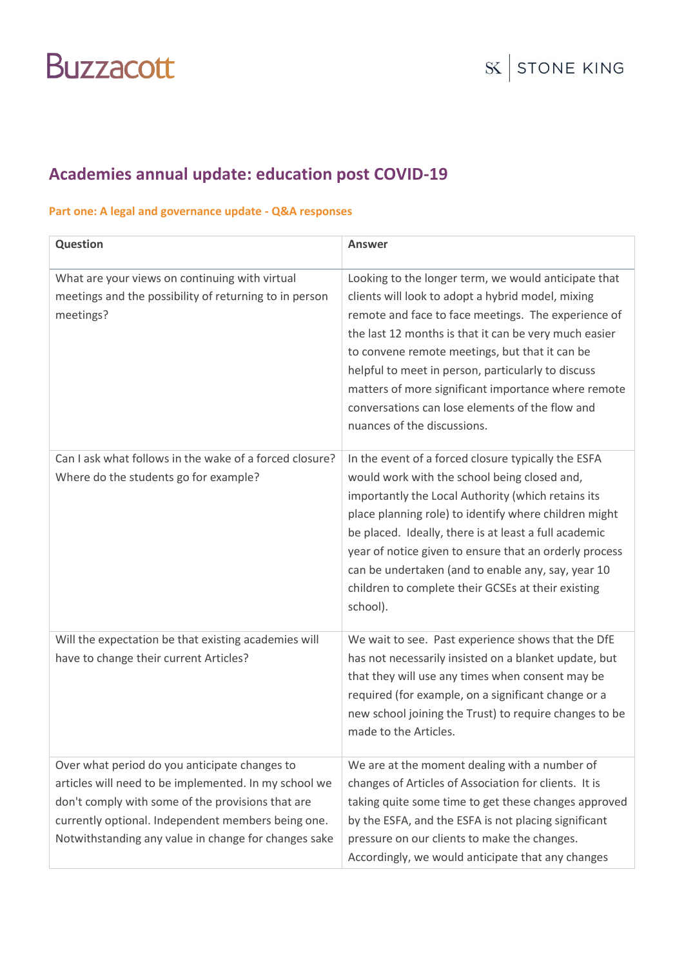#### **Academies annual update: education post COVID-19**

#### **Part one: A legal and governance update - Q&A responses**

| <b>Question</b>                                                                                                                                                                                                                                                           | <b>Answer</b>                                                                                                                                                                                                                                                                                                                                                                                                                                                              |
|---------------------------------------------------------------------------------------------------------------------------------------------------------------------------------------------------------------------------------------------------------------------------|----------------------------------------------------------------------------------------------------------------------------------------------------------------------------------------------------------------------------------------------------------------------------------------------------------------------------------------------------------------------------------------------------------------------------------------------------------------------------|
| What are your views on continuing with virtual<br>meetings and the possibility of returning to in person<br>meetings?                                                                                                                                                     | Looking to the longer term, we would anticipate that<br>clients will look to adopt a hybrid model, mixing<br>remote and face to face meetings. The experience of<br>the last 12 months is that it can be very much easier<br>to convene remote meetings, but that it can be<br>helpful to meet in person, particularly to discuss<br>matters of more significant importance where remote<br>conversations can lose elements of the flow and<br>nuances of the discussions. |
| Can I ask what follows in the wake of a forced closure?<br>Where do the students go for example?                                                                                                                                                                          | In the event of a forced closure typically the ESFA<br>would work with the school being closed and,<br>importantly the Local Authority (which retains its<br>place planning role) to identify where children might<br>be placed. Ideally, there is at least a full academic<br>year of notice given to ensure that an orderly process<br>can be undertaken (and to enable any, say, year 10<br>children to complete their GCSEs at their existing<br>school).              |
| Will the expectation be that existing academies will<br>have to change their current Articles?                                                                                                                                                                            | We wait to see. Past experience shows that the DfE<br>has not necessarily insisted on a blanket update, but<br>that they will use any times when consent may be<br>required (for example, on a significant change or a<br>new school joining the Trust) to require changes to be<br>made to the Articles.                                                                                                                                                                  |
| Over what period do you anticipate changes to<br>articles will need to be implemented. In my school we<br>don't comply with some of the provisions that are<br>currently optional. Independent members being one.<br>Notwithstanding any value in change for changes sake | We are at the moment dealing with a number of<br>changes of Articles of Association for clients. It is<br>taking quite some time to get these changes approved<br>by the ESFA, and the ESFA is not placing significant<br>pressure on our clients to make the changes.<br>Accordingly, we would anticipate that any changes                                                                                                                                                |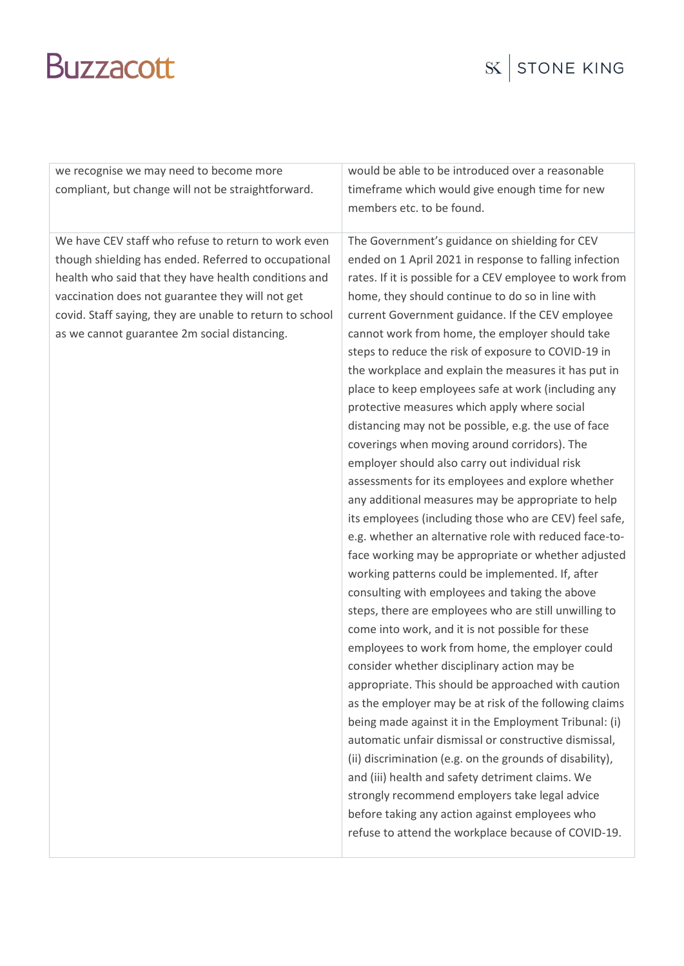| we recognise we may need to become more                  | would be able to be introduced over a reasonable         |
|----------------------------------------------------------|----------------------------------------------------------|
| compliant, but change will not be straightforward.       | timeframe which would give enough time for new           |
|                                                          | members etc. to be found.                                |
|                                                          |                                                          |
| We have CEV staff who refuse to return to work even      | The Government's guidance on shielding for CEV           |
| though shielding has ended. Referred to occupational     | ended on 1 April 2021 in response to falling infection   |
| health who said that they have health conditions and     | rates. If it is possible for a CEV employee to work from |
| vaccination does not guarantee they will not get         | home, they should continue to do so in line with         |
| covid. Staff saying, they are unable to return to school | current Government guidance. If the CEV employee         |
| as we cannot guarantee 2m social distancing.             | cannot work from home, the employer should take          |
|                                                          | steps to reduce the risk of exposure to COVID-19 in      |
|                                                          | the workplace and explain the measures it has put in     |
|                                                          | place to keep employees safe at work (including any      |
|                                                          | protective measures which apply where social             |
|                                                          | distancing may not be possible, e.g. the use of face     |
|                                                          | coverings when moving around corridors). The             |
|                                                          | employer should also carry out individual risk           |
|                                                          | assessments for its employees and explore whether        |
|                                                          | any additional measures may be appropriate to help       |
|                                                          | its employees (including those who are CEV) feel safe,   |
|                                                          | e.g. whether an alternative role with reduced face-to-   |
|                                                          | face working may be appropriate or whether adjusted      |
|                                                          | working patterns could be implemented. If, after         |
|                                                          | consulting with employees and taking the above           |
|                                                          | steps, there are employees who are still unwilling to    |
|                                                          | come into work, and it is not possible for these         |
|                                                          | employees to work from home, the employer could          |
|                                                          | consider whether disciplinary action may be              |
|                                                          | appropriate. This should be approached with caution      |
|                                                          | as the employer may be at risk of the following claims   |
|                                                          | being made against it in the Employment Tribunal: (i)    |
|                                                          | automatic unfair dismissal or constructive dismissal,    |
|                                                          | (ii) discrimination (e.g. on the grounds of disability), |
|                                                          | and (iii) health and safety detriment claims. We         |
|                                                          | strongly recommend employers take legal advice           |
|                                                          | before taking any action against employees who           |
|                                                          | refuse to attend the workplace because of COVID-19.      |
|                                                          |                                                          |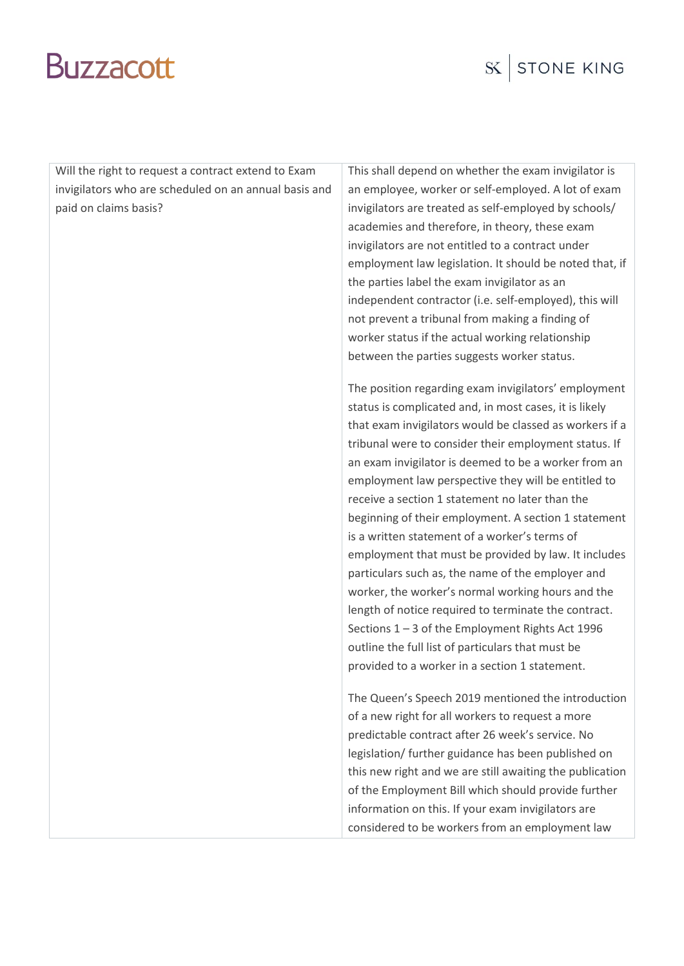| Will the right to request a contract extend to Exam   | This shall depend on whether the exam invigilator is     |
|-------------------------------------------------------|----------------------------------------------------------|
| invigilators who are scheduled on an annual basis and | an employee, worker or self-employed. A lot of exam      |
| paid on claims basis?                                 | invigilators are treated as self-employed by schools/    |
|                                                       | academies and therefore, in theory, these exam           |
|                                                       | invigilators are not entitled to a contract under        |
|                                                       | employment law legislation. It should be noted that, if  |
|                                                       | the parties label the exam invigilator as an             |
|                                                       | independent contractor (i.e. self-employed), this will   |
|                                                       | not prevent a tribunal from making a finding of          |
|                                                       | worker status if the actual working relationship         |
|                                                       | between the parties suggests worker status.              |
|                                                       | The position regarding exam invigilators' employment     |
|                                                       | status is complicated and, in most cases, it is likely   |
|                                                       | that exam invigilators would be classed as workers if a  |
|                                                       | tribunal were to consider their employment status. If    |
|                                                       | an exam invigilator is deemed to be a worker from an     |
|                                                       | employment law perspective they will be entitled to      |
|                                                       | receive a section 1 statement no later than the          |
|                                                       | beginning of their employment. A section 1 statement     |
|                                                       | is a written statement of a worker's terms of            |
|                                                       | employment that must be provided by law. It includes     |
|                                                       | particulars such as, the name of the employer and        |
|                                                       | worker, the worker's normal working hours and the        |
|                                                       | length of notice required to terminate the contract.     |
|                                                       | Sections 1-3 of the Employment Rights Act 1996           |
|                                                       | outline the full list of particulars that must be        |
|                                                       | provided to a worker in a section 1 statement.           |
|                                                       | The Queen's Speech 2019 mentioned the introduction       |
|                                                       | of a new right for all workers to request a more         |
|                                                       | predictable contract after 26 week's service. No         |
|                                                       | legislation/ further guidance has been published on      |
|                                                       | this new right and we are still awaiting the publication |
|                                                       | of the Employment Bill which should provide further      |
|                                                       | information on this. If your exam invigilators are       |
|                                                       | considered to be workers from an employment law          |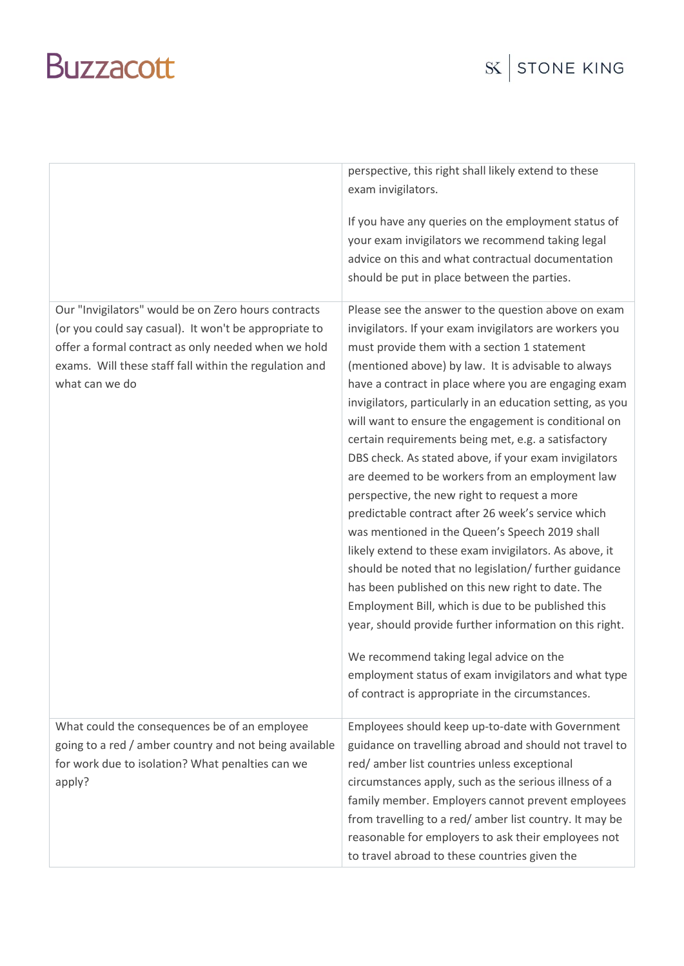|                                                                                                                                                                                                                                                 | perspective, this right shall likely extend to these<br>exam invigilators.                                                                                                                                                                                                                                                                                                                                                                                                                                                                                                                                                                                                                                                                                                                                                                                                                                                                                                                                                                                                                                                                                                     |
|-------------------------------------------------------------------------------------------------------------------------------------------------------------------------------------------------------------------------------------------------|--------------------------------------------------------------------------------------------------------------------------------------------------------------------------------------------------------------------------------------------------------------------------------------------------------------------------------------------------------------------------------------------------------------------------------------------------------------------------------------------------------------------------------------------------------------------------------------------------------------------------------------------------------------------------------------------------------------------------------------------------------------------------------------------------------------------------------------------------------------------------------------------------------------------------------------------------------------------------------------------------------------------------------------------------------------------------------------------------------------------------------------------------------------------------------|
|                                                                                                                                                                                                                                                 | If you have any queries on the employment status of<br>your exam invigilators we recommend taking legal<br>advice on this and what contractual documentation<br>should be put in place between the parties.                                                                                                                                                                                                                                                                                                                                                                                                                                                                                                                                                                                                                                                                                                                                                                                                                                                                                                                                                                    |
| Our "Invigilators" would be on Zero hours contracts<br>(or you could say casual). It won't be appropriate to<br>offer a formal contract as only needed when we hold<br>exams. Will these staff fall within the regulation and<br>what can we do | Please see the answer to the question above on exam<br>invigilators. If your exam invigilators are workers you<br>must provide them with a section 1 statement<br>(mentioned above) by law. It is advisable to always<br>have a contract in place where you are engaging exam<br>invigilators, particularly in an education setting, as you<br>will want to ensure the engagement is conditional on<br>certain requirements being met, e.g. a satisfactory<br>DBS check. As stated above, if your exam invigilators<br>are deemed to be workers from an employment law<br>perspective, the new right to request a more<br>predictable contract after 26 week's service which<br>was mentioned in the Queen's Speech 2019 shall<br>likely extend to these exam invigilators. As above, it<br>should be noted that no legislation/ further guidance<br>has been published on this new right to date. The<br>Employment Bill, which is due to be published this<br>year, should provide further information on this right.<br>We recommend taking legal advice on the<br>employment status of exam invigilators and what type<br>of contract is appropriate in the circumstances. |
| What could the consequences be of an employee<br>going to a red / amber country and not being available<br>for work due to isolation? What penalties can we<br>apply?                                                                           | Employees should keep up-to-date with Government<br>guidance on travelling abroad and should not travel to<br>red/amber list countries unless exceptional<br>circumstances apply, such as the serious illness of a<br>family member. Employers cannot prevent employees<br>from travelling to a red/ amber list country. It may be<br>reasonable for employers to ask their employees not<br>to travel abroad to these countries given the                                                                                                                                                                                                                                                                                                                                                                                                                                                                                                                                                                                                                                                                                                                                     |